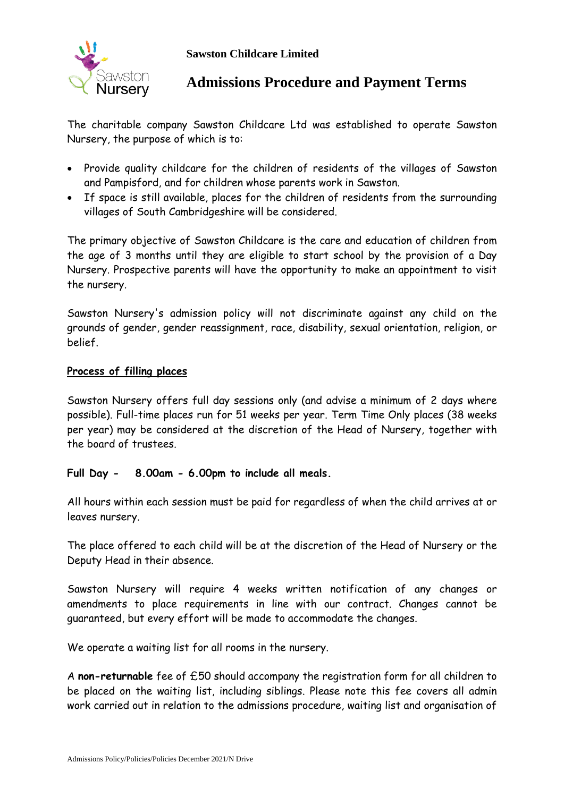

## **Admissions Procedure and Payment Terms**

The charitable company Sawston Childcare Ltd was established to operate Sawston Nursery, the purpose of which is to:

- Provide quality childcare for the children of residents of the villages of Sawston and Pampisford, and for children whose parents work in Sawston.
- If space is still available, places for the children of residents from the surrounding villages of South Cambridgeshire will be considered.

The primary objective of Sawston Childcare is the care and education of children from the age of 3 months until they are eligible to start school by the provision of a Day Nursery. Prospective parents will have the opportunity to make an appointment to visit the nursery.

Sawston Nursery's admission policy will not discriminate against any child on the grounds of gender, gender reassignment, race, disability, sexual orientation, religion, or belief.

### **Process of filling places**

Sawston Nursery offers full day sessions only (and advise a minimum of 2 days where possible). Full-time places run for 51 weeks per year. Term Time Only places (38 weeks per year) may be considered at the discretion of the Head of Nursery, together with the board of trustees.

### **Full Day - 8.00am - 6.00pm to include all meals.**

All hours within each session must be paid for regardless of when the child arrives at or leaves nursery.

The place offered to each child will be at the discretion of the Head of Nursery or the Deputy Head in their absence.

Sawston Nursery will require 4 weeks written notification of any changes or amendments to place requirements in line with our contract. Changes cannot be guaranteed, but every effort will be made to accommodate the changes.

We operate a waiting list for all rooms in the nursery.

A **non-returnable** fee of £50 should accompany the registration form for all children to be placed on the waiting list, including siblings. Please note this fee covers all admin work carried out in relation to the admissions procedure, waiting list and organisation of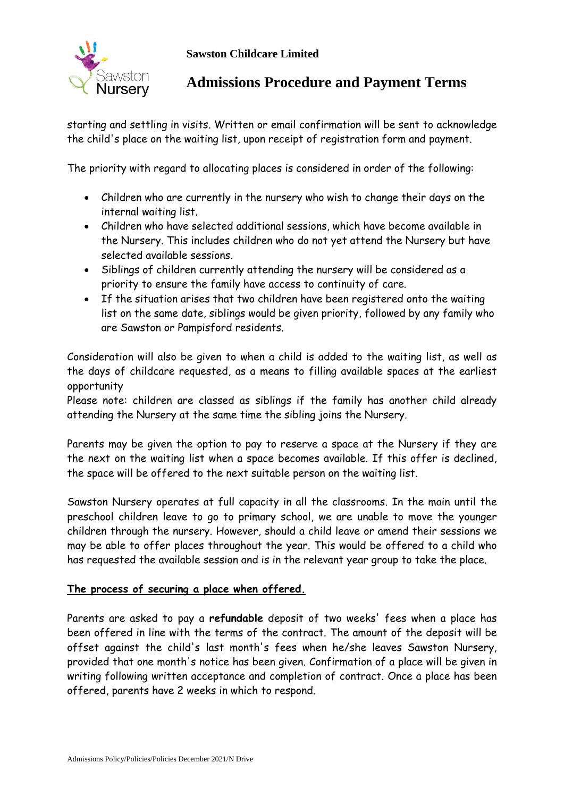

# **Admissions Procedure and Payment Terms**

starting and settling in visits. Written or email confirmation will be sent to acknowledge the child's place on the waiting list, upon receipt of registration form and payment.

The priority with regard to allocating places is considered in order of the following:

- Children who are currently in the nursery who wish to change their days on the internal waiting list.
- Children who have selected additional sessions, which have become available in the Nursery. This includes children who do not yet attend the Nursery but have selected available sessions.
- Siblings of children currently attending the nursery will be considered as a priority to ensure the family have access to continuity of care.
- If the situation arises that two children have been registered onto the waiting list on the same date, siblings would be given priority, followed by any family who are Sawston or Pampisford residents.

Consideration will also be given to when a child is added to the waiting list, as well as the days of childcare requested, as a means to filling available spaces at the earliest opportunity

Please note: children are classed as siblings if the family has another child already attending the Nursery at the same time the sibling joins the Nursery.

Parents may be given the option to pay to reserve a space at the Nursery if they are the next on the waiting list when a space becomes available. If this offer is declined, the space will be offered to the next suitable person on the waiting list.

Sawston Nursery operates at full capacity in all the classrooms. In the main until the preschool children leave to go to primary school, we are unable to move the younger children through the nursery. However, should a child leave or amend their sessions we may be able to offer places throughout the year. This would be offered to a child who has requested the available session and is in the relevant year group to take the place.

## **The process of securing a place when offered.**

Parents are asked to pay a **refundable** deposit of two weeks' fees when a place has been offered in line with the terms of the contract. The amount of the deposit will be offset against the child's last month's fees when he/she leaves Sawston Nursery, provided that one month's notice has been given. Confirmation of a place will be given in writing following written acceptance and completion of contract. Once a place has been offered, parents have 2 weeks in which to respond.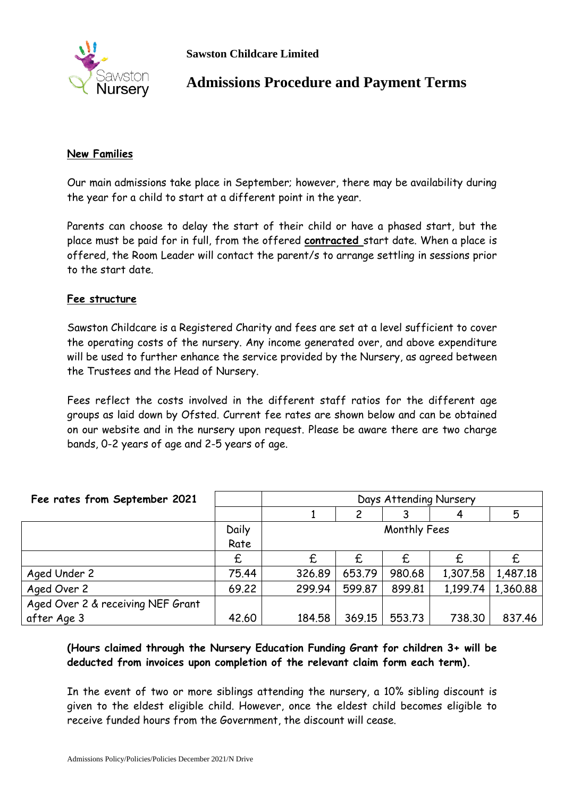

# **Admissions Procedure and Payment Terms**

### **New Families**

Our main admissions take place in September; however, there may be availability during the year for a child to start at a different point in the year.

Parents can choose to delay the start of their child or have a phased start, but the place must be paid for in full, from the offered **contracted** start date. When a place is offered, the Room Leader will contact the parent/s to arrange settling in sessions prior to the start date.

### **Fee structure**

Sawston Childcare is a Registered Charity and fees are set at a level sufficient to cover the operating costs of the nursery. Any income generated over, and above expenditure will be used to further enhance the service provided by the Nursery, as agreed between the Trustees and the Head of Nursery.

Fees reflect the costs involved in the different staff ratios for the different age groups as laid down by Ofsted. Current fee rates are shown below and can be obtained on our website and in the nursery upon request. Please be aware there are two charge bands, 0-2 years of age and 2-5 years of age.

| Fee rates from September 2021     |       | Days Attending Nursery |        |        |          |          |
|-----------------------------------|-------|------------------------|--------|--------|----------|----------|
|                                   |       |                        | 2      |        |          | 5        |
|                                   | Daily | Monthly Fees           |        |        |          |          |
|                                   | Rate  |                        |        |        |          |          |
|                                   | £     | £                      | £      | £      |          |          |
| Aged Under 2                      | 75.44 | 326.89                 | 653.79 | 980.68 | 1,307.58 | 1,487.18 |
| Aged Over 2                       | 69.22 | 299.94                 | 599.87 | 899.81 | 1,199.74 | 1,360.88 |
| Aged Over 2 & receiving NEF Grant |       |                        |        |        |          |          |
| after Age 3                       | 42.60 | 184.58                 | 369.15 | 553.73 | 738.30   | 837.46   |

## **(Hours claimed through the Nursery Education Funding Grant for children 3+ will be deducted from invoices upon completion of the relevant claim form each term).**

In the event of two or more siblings attending the nursery, a 10% sibling discount is given to the eldest eligible child. However, once the eldest child becomes eligible to receive funded hours from the Government, the discount will cease.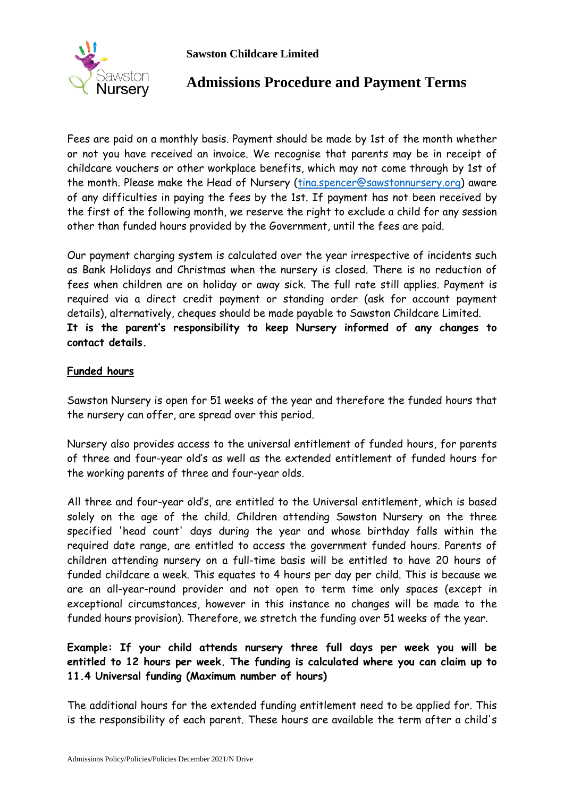



# **Admissions Procedure and Payment Terms**

Fees are paid on a monthly basis. Payment should be made by 1st of the month whether or not you have received an invoice. We recognise that parents may be in receipt of childcare vouchers or other workplace benefits, which may not come through by 1st of the month. Please make the Head of Nursery [\(tina.spencer@sawstonnursery.org\)](mailto:tina.spencer@sawstonnursery.org) aware of any difficulties in paying the fees by the 1st. If payment has not been received by the first of the following month, we reserve the right to exclude a child for any session other than funded hours provided by the Government, until the fees are paid.

Our payment charging system is calculated over the year irrespective of incidents such as Bank Holidays and Christmas when the nursery is closed. There is no reduction of fees when children are on holiday or away sick. The full rate still applies. Payment is required via a direct credit payment or standing order (ask for account payment details), alternatively, cheques should be made payable to Sawston Childcare Limited. **It is the parent's responsibility to keep Nursery informed of any changes to contact details.**

### **Funded hours**

Sawston Nursery is open for 51 weeks of the year and therefore the funded hours that the nursery can offer, are spread over this period.

Nursery also provides access to the universal entitlement of funded hours, for parents of three and four-year old's as well as the extended entitlement of funded hours for the working parents of three and four-year olds.

All three and four-year old's, are entitled to the Universal entitlement, which is based solely on the age of the child. Children attending Sawston Nursery on the three specified 'head count' days during the year and whose birthday falls within the required date range, are entitled to access the government funded hours. Parents of children attending nursery on a full-time basis will be entitled to have 20 hours of funded childcare a week. This equates to 4 hours per day per child. This is because we are an all-year-round provider and not open to term time only spaces (except in exceptional circumstances, however in this instance no changes will be made to the funded hours provision). Therefore, we stretch the funding over 51 weeks of the year.

## **Example: If your child attends nursery three full days per week you will be entitled to 12 hours per week. The funding is calculated where you can claim up to 11.4 Universal funding (Maximum number of hours)**

The additional hours for the extended funding entitlement need to be applied for. This is the responsibility of each parent. These hours are available the term after a child's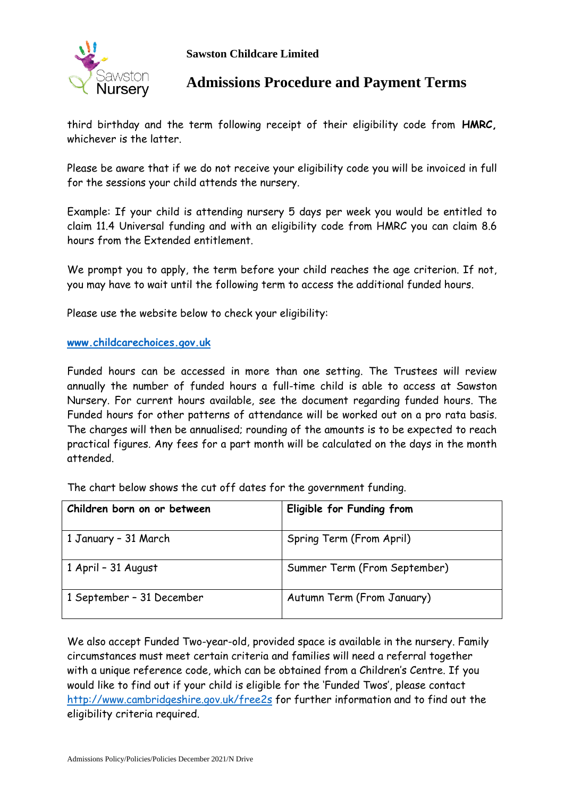

## **Admissions Procedure and Payment Terms**

third birthday and the term following receipt of their eligibility code from **HMRC,** whichever is the latter.

Please be aware that if we do not receive your eligibility code you will be invoiced in full for the sessions your child attends the nursery.

Example: If your child is attending nursery 5 days per week you would be entitled to claim 11.4 Universal funding and with an eligibility code from HMRC you can claim 8.6 hours from the Extended entitlement.

We prompt you to apply, the term before your child reaches the age criterion. If not, you may have to wait until the following term to access the additional funded hours.

Please use the website below to check your eligibility:

### **[www.childcarechoices.gov.uk](http://www.childcarechoices.gov.uk/)**

Funded hours can be accessed in more than one setting. The Trustees will review annually the number of funded hours a full-time child is able to access at Sawston Nursery. For current hours available, see the document regarding funded hours. The Funded hours for other patterns of attendance will be worked out on a pro rata basis. The charges will then be annualised; rounding of the amounts is to be expected to reach practical figures. Any fees for a part month will be calculated on the days in the month attended.

| Children born on or between | Eligible for Funding from    |
|-----------------------------|------------------------------|
| 1 January - 31 March        | Spring Term (From April)     |
| 1 April - 31 August         | Summer Term (From September) |
| 1 September - 31 December   | Autumn Term (From January)   |

The chart below shows the cut off dates for the government funding.

We also accept Funded Two-year-old, provided space is available in the nursery. Family circumstances must meet certain criteria and families will need a referral together with a unique reference code, which can be obtained from a Children's Centre. If you would like to find out if your child is eligible for the 'Funded Twos', please contact <http://www.cambridgeshire.gov.uk/free2s> for further information and to find out the eligibility criteria required.